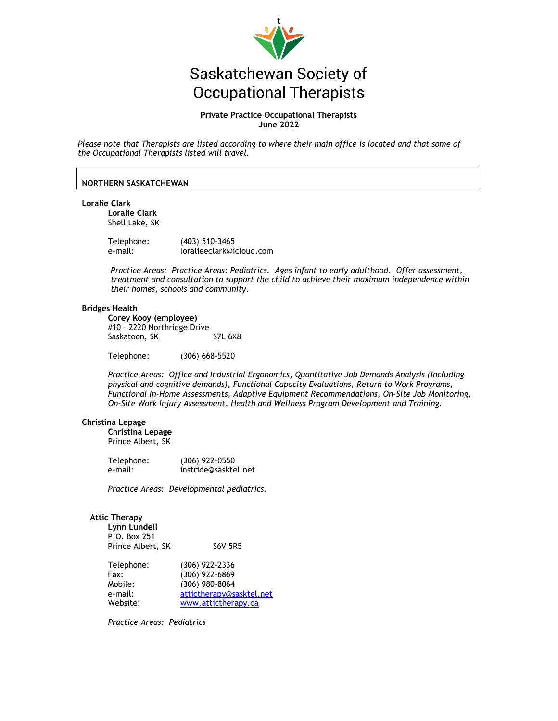

# Saskatchewan Society of **Occupational Therapists**

# **Private Practice Occupational Therapists June 2022**

*Please note that Therapists are listed according to where their main office is located and that some of the Occupational Therapists listed will travel.* 

# **NORTHERN SASKATCHEWAN**

**Loralie Clark** 

**Loralie Clark**  Shell Lake, SK

Telephone: (403) 510-3465 e-mail: loralieeclark@icloud.com

*Practice Areas: Practice Areas: Pediatrics. Ages infant to early adulthood. Offer assessment, treatment and consultation to support the child to achieve their maximum independence within their homes, schools and community.*

## **Bridges Health**

**Corey Kooy (employee)** #10 – 2220 Northridge Drive Saskatoon, SK S7L 6X8

Telephone: (306) 668-5520

*Practice Areas: Office and Industrial Ergonomics, Quantitative Job Demands Analysis (including physical and cognitive demands), Functional Capacity Evaluations, Return to Work Programs, Functional In-Home Assessments, Adaptive Equipment Recommendations, On-Site Job Monitoring, On-Site Work Injury Assessment, Health and Wellness Program Development and Training.* 

#### **Christina Lepage**

**Christina Lepage** Prince Albert, SK

| Telephone: | $(306)$ 922-0550     |
|------------|----------------------|
| e-mail:    | instride@sasktel.net |

*Practice Areas: Developmental pediatrics.* 

#### **Attic Therapy**

| Lynn Lundell      |                |
|-------------------|----------------|
| P.O. Box 251      |                |
| Prince Albert, SK | <b>S6V 5R5</b> |

| Telephone: | $(306)$ 922-2336         |
|------------|--------------------------|
| Fax:       | (306) 922-6869           |
| Mobile:    | $(306)$ 980-8064         |
| e-mail:    | attictherapy@sasktel.net |
| Website:   | www.attictherapy.ca      |

*Practice Areas: Pediatrics*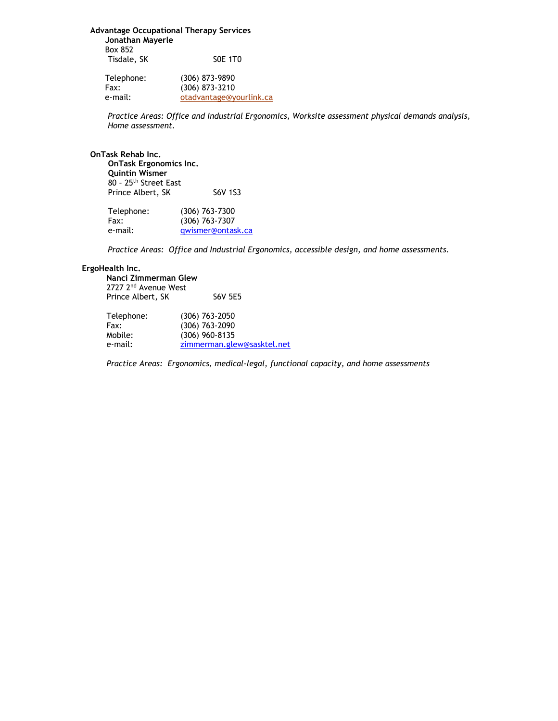**Advantage Occupational Therapy Services Jonathan Mayerle**  Box 852 Tisdale, SK S0E 1T0

 Telephone: (306) 873-9890 Fax: (306) 873-3210 e-mail: otadvantage@yourlink.ca

*Practice Areas: Office and Industrial Ergonomics, Worksite assessment physical demands analysis, Home assessment.* 

**OnTask Rehab Inc.**

**OnTask Ergonomics Inc. Quintin Wismer** 80 – 25th Street East Prince Albert, SK S6V 1S3

| Telephone: | $(306)$ 763-7300  |
|------------|-------------------|
| Fax:       | $(306)$ 763-7307  |
| e-mail:    | gwismer@ontask.ca |

*Practice Areas: Office and Industrial Ergonomics, accessible design, and home assessments.*

# **ErgoHealth Inc.**

**Nanci Zimmerman Glew** 2727 2nd Avenue West Prince Albert, SK S6V 5E5

| Telephone: | $(306)$ 763-2050           |
|------------|----------------------------|
| Fax:       | $(306)$ 763-2090           |
| Mobile:    | $(306)$ 960-8135           |
| e-mail:    | zimmerman.glew@sasktel.net |
|            |                            |

*Practice Areas: Ergonomics, medical-legal, functional capacity, and home assessments*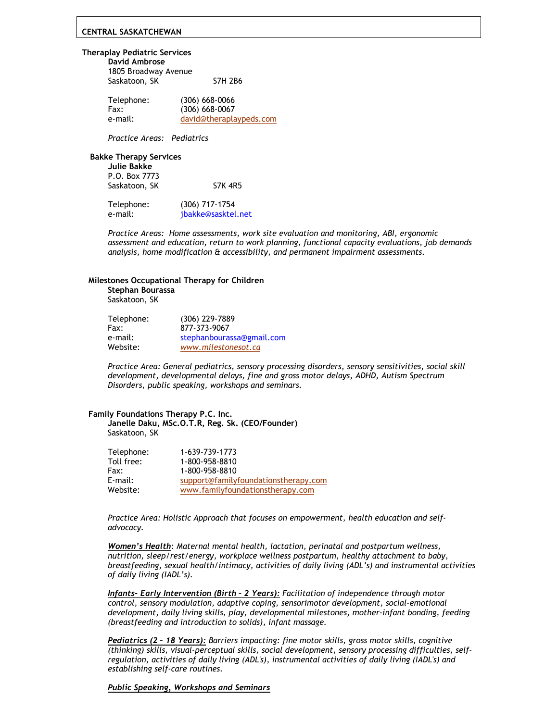# **CENTRAL SASKATCHEWAN**

#### **Theraplay Pediatric Services**

| David Ambrose        |                |
|----------------------|----------------|
| 1805 Broadway Avenue |                |
| Saskatoon, SK        | <b>S7H 2B6</b> |

| Telephone: | $(306)$ 668-0066        |
|------------|-------------------------|
| Fax:       | $(306) 668 - 0067$      |
| e-mail:    | david@theraplaypeds.com |

*Practice Areas: Pediatrics*

#### **Bakke Therapy Services**

| <b>S7K 4R5</b> |
|----------------|
|                |

| Telephone: | $(306)$ 717-1754   |
|------------|--------------------|
| e-mail:    | jbakke@sasktel.net |

*Practice Areas: Home assessments, work site evaluation and monitoring, ABI, ergonomic assessment and education, return to work planning, functional capacity evaluations, job demands analysis, home modification & accessibility, and permanent impairment assessments.*

#### **Milestones Occupational Therapy for Children**

**Stephan Bourassa** Saskatoon, SK

| Telephone: | (306) 229-7889            |
|------------|---------------------------|
| Fax:       | 877-373-9067              |
| e-mail:    | stephanbourassa@gmail.com |
| Website:   | www.milestonesot.ca       |

*Practice Area: General pediatrics, sensory processing disorders, sensory sensitivities, social skill development, developmental delays, fine and gross motor delays, ADHD, Autism Spectrum Disorders, public speaking, workshops and seminars.* 

#### **Family Foundations Therapy P.C. Inc.**

**Janelle Daku, MSc.O.T.R, Reg. Sk. (CEO/Founder)** Saskatoon, SK

| 1-639-739-1773                       |
|--------------------------------------|
| 1-800-958-8810                       |
| 1-800-958-8810                       |
| support@familyfoundationstherapy.com |
| www.familyfoundationstherapy.com     |
|                                      |

*Practice Area: Holistic Approach that focuses on empowerment, health education and selfadvocacy.*

*Women's Health: Maternal mental health, lactation, perinatal and postpartum wellness, nutrition, sleep/rest/energy, workplace wellness postpartum, healthy attachment to baby, breastfeeding, sexual health/intimacy, activities of daily living (ADL's) and instrumental activities of daily living (IADL's).*

*Infants- Early Intervention (Birth – 2 Years): Facilitation of independence through motor control, sensory modulation, adaptive coping, sensorimotor development, social-emotional development, daily living skills, play, developmental milestones, mother-infant bonding, feeding (breastfeeding and introduction to solids), infant massage.*

*Pediatrics (2 – 18 Years): Barriers impacting: fine motor skills, gross motor skills, cognitive (thinking) skills, visual-perceptual skills, social development, sensory processing difficulties, selfregulation, activities of daily living (ADL's), instrumental activities of daily living (IADL's) and establishing self-care routines.*

## *Public Speaking, Workshops and Seminars*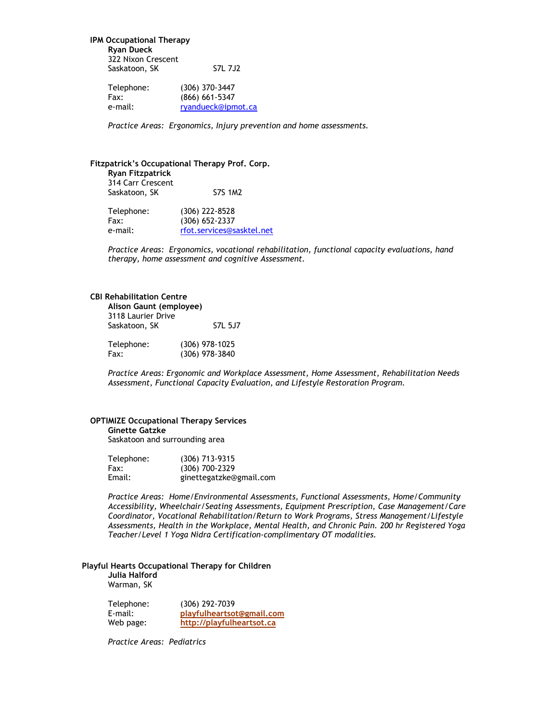**IPM Occupational Therapy Ryan Dueck** 322 Nixon Crescent Saskatoon, SK S7L 7J2

| Telephone: | (306) 370-3447     |
|------------|--------------------|
| Fax:       | $(866) 661 - 5347$ |
| e-mail:    | ryandueck@ipmot.ca |

*Practice Areas: Ergonomics, Injury prevention and home assessments.*

#### **Fitzpatrick's Occupational Therapy Prof. Corp.**

**Ryan Fitzpatrick** 314 Carr Crescent Saskatoon, SK S7S 1M2

| Telephone: | $(306)$ 222-8528          |
|------------|---------------------------|
| Fax:       | $(306) 652 - 2337$        |
| e-mail:    | rfot.services@sasktel.net |

*Practice Areas: Ergonomics, vocational rehabilitation, functional capacity evaluations, hand therapy, home assessment and cognitive Assessment.*

# **CBI Rehabilitation Centre**

| Alison Gaunt (employee) |                  |  |
|-------------------------|------------------|--|
| 3118 Laurier Drive      |                  |  |
| Saskatoon, SK           | S7L 5.J7         |  |
| Telephone:              | $(306)$ 978-1025 |  |
| Fax:                    | (306) 978-3840   |  |

*Practice Areas: Ergonomic and Workplace Assessment, Home Assessment, Rehabilitation Needs Assessment, Functional Capacity Evaluation, and Lifestyle Restoration Program.*

# **OPTIMIZE Occupational Therapy Services**

# **Ginette Gatzke**

Saskatoon and surrounding area

| Telephone: | (306) 713-9315          |
|------------|-------------------------|
| Fax:       | (306) 700-2329          |
| Email:     | ginettegatzke@gmail.com |

*Practice Areas: Home/Environmental Assessments, Functional Assessments, Home/Community Accessibility, Wheelchair/Seating Assessments, Equipment Prescription, Case Management/Care Coordinator, Vocational Rehabilitation/Return to Work Programs, Stress Management/Lifestyle Assessments, Health in the Workplace, Mental Health, and Chronic Pain. 200 hr Registered Yoga Teacher/Level 1 Yoga Nidra Certification-complimentary OT modalities.*

# **Playful Hearts Occupational Therapy for Children**

# **Julia Halford** Warman, SK

| Telephone: | (306) 292-7039            |
|------------|---------------------------|
| E-mail:    | playfulheartsot@gmail.com |
| Web page:  | http://playfulheartsot.ca |

*Practice Areas: Pediatrics*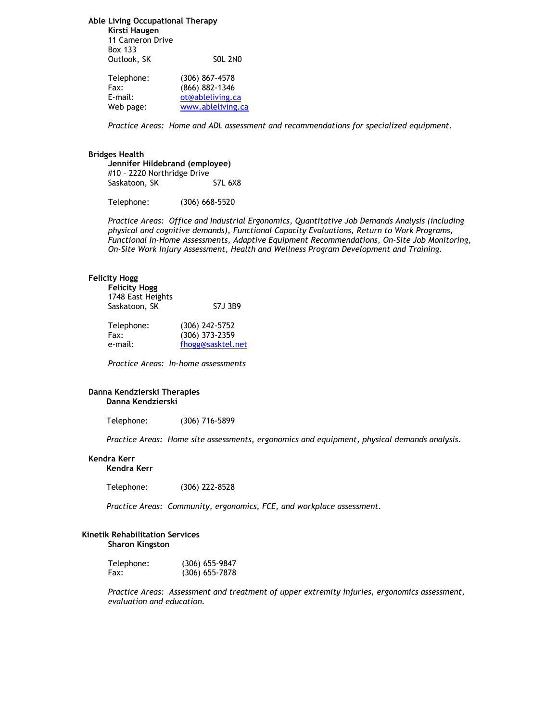**Able Living Occupational Therapy Kirsti Haugen**

11 Cameron Drive Box 133

| Outlook, SK | <b>SOL 2NO</b> |
|-------------|----------------|
|             |                |

| Telephone: | $(306)$ 867-4578   |
|------------|--------------------|
| Fax:       | $(866) 882 - 1346$ |
| E-mail:    | ot@ableliving.ca   |
| Web page:  | www.ableliving.ca  |
|            |                    |

*Practice Areas: Home and ADL assessment and recommendations for specialized equipment.*

#### **Bridges Health**

**Jennifer Hildebrand (employee)** #10 – 2220 Northridge Drive Saskatoon, SK S7L 6X8

Telephone: (306) 668-5520

*Practice Areas: Office and Industrial Ergonomics, Quantitative Job Demands Analysis (including physical and cognitive demands), Functional Capacity Evaluations, Return to Work Programs, Functional In-Home Assessments, Adaptive Equipment Recommendations, On-Site Job Monitoring, On-Site Work Injury Assessment, Health and Wellness Program Development and Training.* 

#### **Felicity Hogg**

| <b>Felicity Hogg</b><br>1748 East Heights<br>Saskatoon, SK | S7.J 3B9                           |
|------------------------------------------------------------|------------------------------------|
| Telephone:<br>Fax:                                         | $(306)$ 242-5752<br>(306) 373-2359 |
| e-mail:                                                    | fhogg@sasktel.net                  |

*Practice Areas: In-home assessments*

#### **Danna Kendzierski Therapies Danna Kendzierski**

Telephone: (306) 716-5899

*Practice Areas: Home site assessments, ergonomics and equipment, physical demands analysis.*

#### **Kendra Kerr**

**Kendra Kerr**

Telephone: (306) 222-8528

*Practice Areas: Community, ergonomics, FCE, and workplace assessment.*

# **Kinetik Rehabilitation Services**

**Sharon Kingston**

| Telephone: | $(306)$ 655-9847 |
|------------|------------------|
| Fax:       | $(306)$ 655-7878 |

*Practice Areas: Assessment and treatment of upper extremity injuries, ergonomics assessment, evaluation and education.*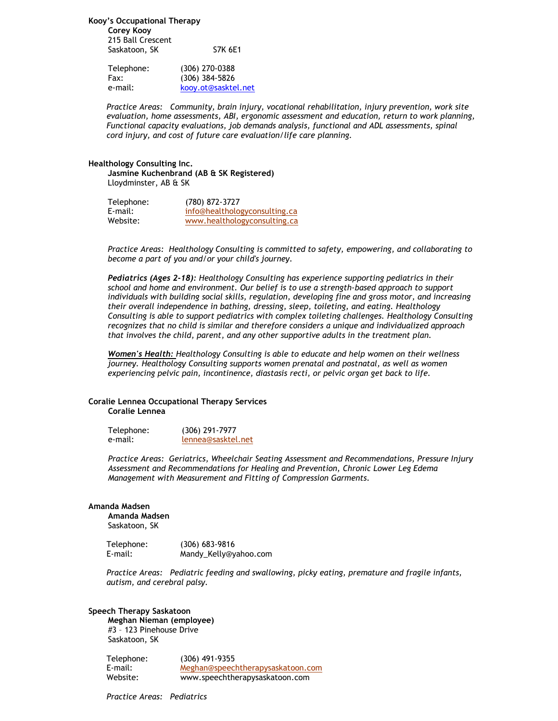**Kooy's Occupational Therapy**

**Corey Kooy** 215 Ball Crescent Saskatoon, SK S7K 6E1

| Telephone: | $(306)$ 270-0388    |
|------------|---------------------|
| Fax:       | $(306)$ 384-5826    |
| e-mail:    | kooy.ot@sasktel.net |

*Practice Areas: Community, brain injury, vocational rehabilitation, injury prevention, work site evaluation, home assessments, ABI, ergonomic assessment and education, return to work planning, Functional capacity evaluations, job demands analysis, functional and ADL assessments, spinal cord injury, and cost of future care evaluation/life care planning.*

#### **Healthology Consulting Inc.**

**Jasmine Kuchenbrand (AB & SK Registered)**  Lloydminster, AB & SK

| Telephone: | (780) 872-3727                |
|------------|-------------------------------|
| E-mail:    | info@healthologyconsulting.ca |
| Website:   | www.healthologyconsulting.ca  |

*Practice Areas: Healthology Consulting is committed to safety, empowering, and collaborating to become a part of you and/or your child's journey.*

*Pediatrics (Ages 2-18): Healthology Consulting has experience supporting pediatrics in their school and home and environment. Our belief is to use a strength-based approach to support individuals with building social skills, regulation, developing fine and gross motor, and increasing their overall independence in bathing, dressing, sleep, toileting, and eating. Healthology Consulting is able to support pediatrics with complex toileting challenges. Healthology Consulting recognizes that no child is similar and therefore considers a unique and individualized approach that involves the child, parent, and any other supportive adults in the treatment plan.* 

*Women's Health: Healthology Consulting is able to educate and help women on their wellness journey. Healthology Consulting supports women prenatal and postnatal, as well as women experiencing pelvic pain, incontinence, diastasis recti, or pelvic organ get back to life.* 

# **Coralie Lennea Occupational Therapy Services Coralie Lennea**

| Telephone: | $(306)$ 291-7977   |
|------------|--------------------|
| e-mail:    | lennea@sasktel.net |

*Practice Areas: Geriatrics, Wheelchair Seating Assessment and Recommendations, Pressure Injury Assessment and Recommendations for Healing and Prevention, Chronic Lower Leg Edema Management with Measurement and Fitting of Compression Garments.* 

#### **Amanda Madsen**

**Amanda Madsen** Saskatoon, SK

Telephone: (306) 683-9816 E-mail: Mandy\_Kelly@yahoo.com

*Practice Areas: Pediatric feeding and swallowing, picky eating, premature and fragile infants, autism, and cerebral palsy.* 

# **Speech Therapy Saskatoon**

**Meghan Nieman (employee)** #3 – 123 Pinehouse Drive Saskatoon, SK

Telephone: (306) 491-9355 E-mail: [Meghan@speechtherapysaskatoon.com](mailto:Meghan@speechtherapysaskatoon.com) Website: www.speechtherapysaskatoon.com

*Practice Areas: Pediatrics*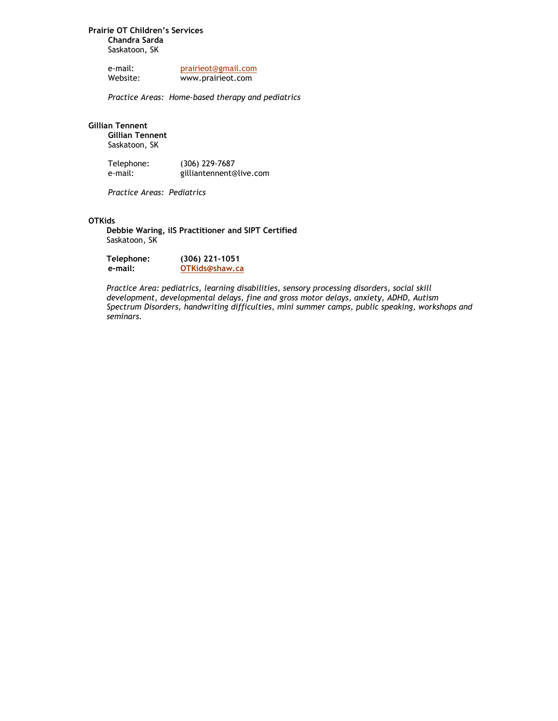# **Prairie OT Children's Services Chandra Sarda** Saskatoon, SK

e-mail: [prairieot@gmail.com](mailto:prairieot@gmail.com)<br>Website: www.prairieot.com www.prairieot.com

*Practice Areas: Home-based therapy and pediatrics* 

# **Gillian Tennent**

**Gillian Tennent** Saskatoon, SK

Telephone: (306) 229-7687 e-mail: gilliantennent@live.com

*Practice Areas: Pediatrics*

# **OTKids**

**Debbie Waring, ilS Practitioner and SIPT Certified** Saskatoon, SK

| Telephone: | $(306)$ 221-1051 |
|------------|------------------|
| e-mail:    | OTKids@shaw.ca   |

*Practice Area: pediatrics, learning disabilities, sensory processing disorders, social skill development, developmental delays, fine and gross motor delays, anxiety, ADHD, Autism Spectrum Disorders, handwriting difficulties, mini summer camps, public speaking, workshops and seminars.*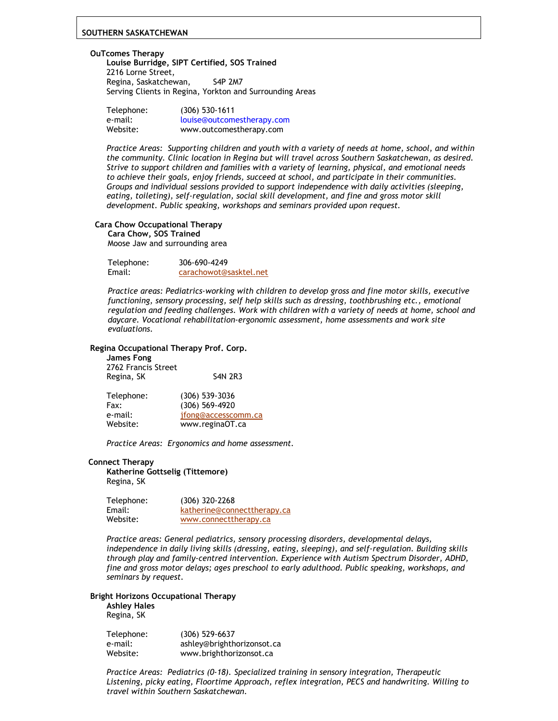## **SOUTHERN SASKATCHEWAN**

#### **OuTcomes Therapy**

**Louise Burridge, SIPT Certified, SOS Trained** 2216 Lorne Street, Regina, Saskatchewan, S4P 2M7 Serving Clients in Regina, Yorkton and Surrounding Areas

| Telephone: | $(306)$ 530-1611           |
|------------|----------------------------|
| e-mail:    | louise@outcomestherapy.com |
| Website:   | www.outcomestherapy.com    |

*Practice Areas: Supporting children and youth with a variety of needs at home, school, and within the community. Clinic location in Regina but will travel across Southern Saskatchewan, as desired. Strive to support children and families with a variety of learning, physical, and emotional needs to achieve their goals, enjoy friends, succeed at school, and participate in their communities. Groups and individual sessions provided to support independence with daily activities (sleeping, eating, toileting), self-regulation, social skill development, and fine and gross motor skill development. Public speaking, workshops and seminars provided upon request.*

## **Cara Chow Occupational Therapy**

**Cara Chow, SOS Trained**

Moose Jaw and surrounding area

| Telephone: | 306-690-4249           |
|------------|------------------------|
| Email:     | carachowot@sasktel.net |

*Practice areas: Pediatrics-working with children to develop gross and fine motor skills, executive functioning, sensory processing, self help skills such as dressing, toothbrushing etc., emotional regulation and feeding challenges. Work with children with a variety of needs at home, school and daycare. Vocational rehabilitation-ergonomic assessment, home assessments and work site evaluations.*

#### **Regina Occupational Therapy Prof. Corp.**

**James Fong** 2762 Francis Street Regina, SK S4N 2R3

| Telephone: | $(306)$ 539-3036    |
|------------|---------------------|
| Fax:       | (306) 569-4920      |
| e-mail:    | ifong@accesscomm.ca |
| Website:   | www.reginaOT.ca     |

*Practice Areas: Ergonomics and home assessment.*

#### **Connect Therapy**

**Katherine Gottselig (Tittemore)** Regina, SK

| Telephone: | $(306)$ 320-2268            |
|------------|-----------------------------|
| Email:     | katherine@connecttherapy.ca |
| Website:   | www.connecttherapy.ca       |

*Practice areas: General pediatrics, sensory processing disorders, developmental delays, independence in daily living skills (dressing, eating, sleeping), and self-regulation. Building skills through play and family-centred intervention. Experience with Autism Spectrum Disorder, ADHD, fine and gross motor delays; ages preschool to early adulthood. Public speaking, workshops, and seminars by request.* 

# **Bright Horizons Occupational Therapy**

**Ashley Hales** Regina, SK

| Telephone: | $(306) 529 - 6637$         |
|------------|----------------------------|
| e-mail:    | ashley@brighthorizonsot.ca |
| Website:   | www.brighthorizonsot.ca    |

*Practice Areas: Pediatrics (0-18). Specialized training in sensory integration, Therapeutic Listening, picky eating, Floortime Approach, reflex integration, PECS and handwriting. Willing to travel within Southern Saskatchewan.*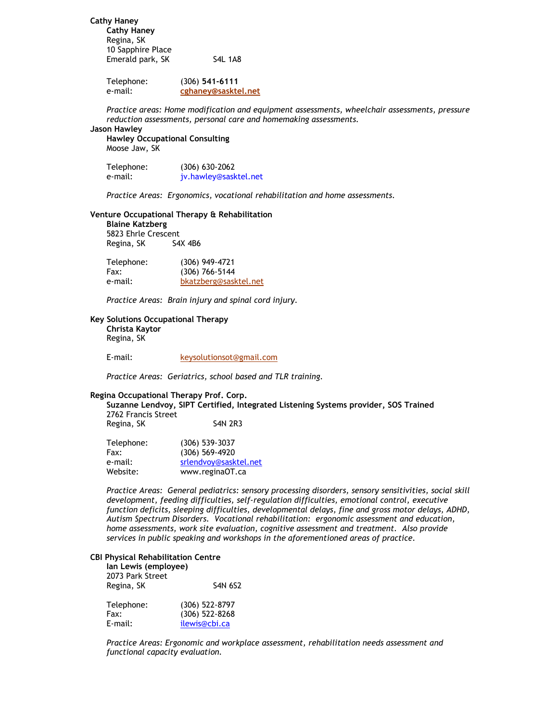**Cathy Haney Cathy Haney** Regina, SK 10 Sapphire Place Emerald park, SK S4L 1A8

> Telephone: (306) **541-6111** e-mail: **[cghaney@sasktel.net](mailto:cghaney@sasktel.net)**

*Practice areas: Home modification and equipment assessments, wheelchair assessments, pressure reduction assessments, personal care and homemaking assessments.*

# **Jason Hawley**

**Hawley Occupational Consulting** Moose Jaw, SK

| Telephone: | $(306) 630 - 2062$    |
|------------|-----------------------|
| e-mail:    | jv.hawley@sasktel.net |

*Practice Areas: Ergonomics, vocational rehabilitation and home assessments.*

#### **Venture Occupational Therapy & Rehabilitation**

| <b>Blaine Katzberg</b> |         |
|------------------------|---------|
| 5823 Ehrle Crescent    |         |
| Regina, SK             | S4X 4B6 |

| Telephone: | (306) 949-4721        |
|------------|-----------------------|
| Fax:       | $(306)$ 766-5144      |
| e-mail:    | bkatzberg@sasktel.net |

*Practice Areas: Brain injury and spinal cord injury.*

# **Key Solutions Occupational Therapy**

**Christa Kaytor** Regina, SK

E-mail: [keysolutionsot@gmail.com](mailto:keysolutionsot@gmail.com)

*Practice Areas: Geriatrics, school based and TLR training.*

#### **Regina Occupational Therapy Prof. Corp.**

**Suzanne Lendvoy, SIPT Certified, Integrated Listening Systems provider, SOS Trained** 2762 Francis Street Regina, SK S4N 2R3

| Telephone: | $(306)$ 539-3037      |
|------------|-----------------------|
| Fax:       | $(306) 569 - 4920$    |
| e-mail:    | srlendvoy@sasktel.net |
| Website:   | www.reginaOT.ca       |

*Practice Areas: General pediatrics: sensory processing disorders, sensory sensitivities, social skill development, feeding difficulties, self-regulation difficulties, emotional control, executive function deficits, sleeping difficulties, developmental delays, fine and gross motor delays, ADHD, Autism Spectrum Disorders. Vocational rehabilitation: ergonomic assessment and education, home assessments, work site evaluation, cognitive assessment and treatment. Also provide services in public speaking and workshops in the aforementioned areas of practice.* 

#### **CBI Physical Rehabilitation Centre**

| lan Lewis (employee) |                    |
|----------------------|--------------------|
| 2073 Park Street     |                    |
| Regina, SK           | <b>S4N 6S2</b>     |
| Telephone:           | $(306) 522 - 8797$ |
| Fax:                 | (306) 522-8268     |
| E-mail:              | ilewis@cbi.ca      |

*Practice Areas: Ergonomic and workplace assessment, rehabilitation needs assessment and functional capacity evaluation.*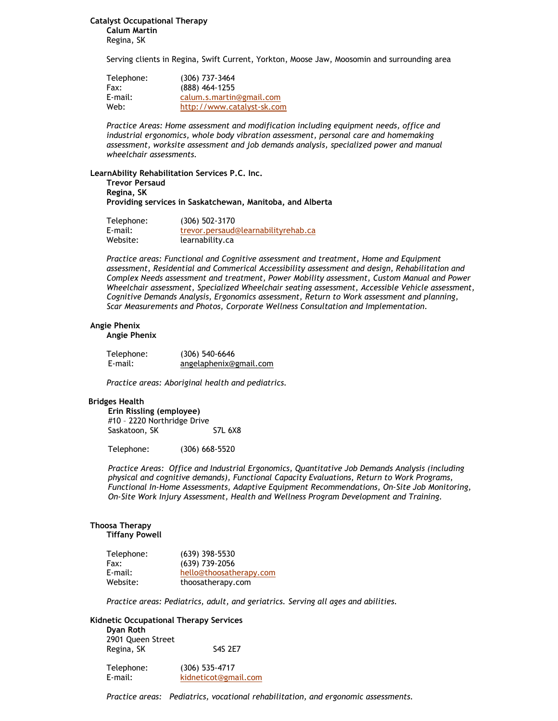**Catalyst Occupational Therapy Calum Martin**

Regina, SK

Serving clients in Regina, Swift Current, Yorkton, Moose Jaw, Moosomin and surrounding area

| Telephone: | $(306)$ 737-3464           |
|------------|----------------------------|
| Fax:       | (888) 464-1255             |
| E-mail:    | calum.s.martin@gmail.com   |
| Web:       | http://www.catalyst-sk.com |

*Practice Areas: Home assessment and modification including equipment needs, office and industrial ergonomics, whole body vibration assessment, personal care and homemaking assessment, worksite assessment and job demands analysis, specialized power and manual wheelchair assessments.*

#### **LearnAbility Rehabilitation Services P.C. Inc.**

**Trevor Persaud Regina, SK Providing services in Saskatchewan, Manitoba, and Alberta**

| Telephone: | (306) 502-3170                      |
|------------|-------------------------------------|
| E-mail:    | trevor.persaud@learnabilityrehab.ca |
| Website:   | learnability.ca                     |

*Practice areas: Functional and Cognitive assessment and treatment, Home and Equipment assessment, Residential and Commerical Accessibility assessment and design, Rehabilitation and Complex Needs assessment and treatment, Power Mobility assessment, Custom Manual and Power Wheelchair assessment, Specialized Wheelchair seating assessment, Accessible Vehicle assessment, Cognitive Demands Analysis, Ergonomics assessment, Return to Work assessment and planning, Scar Measurements and Photos, Corporate Wellness Consultation and Implementation.* 

# **Angie Phenix**

## **Angie Phenix**

| Telephone: | $(306) 540 - 6646$     |
|------------|------------------------|
| E-mail:    | angelaphenix@gmail.com |

*Practice areas: Aboriginal health and pediatrics.* 

#### **Bridges Health**

**Erin Rissling (employee)** #10 – 2220 Northridge Drive Saskatoon, SK S7L 6X8

Telephone: (306) 668-5520

*Practice Areas: Office and Industrial Ergonomics, Quantitative Job Demands Analysis (including physical and cognitive demands), Functional Capacity Evaluations, Return to Work Programs, Functional In-Home Assessments, Adaptive Equipment Recommendations, On-Site Job Monitoring, On-Site Work Injury Assessment, Health and Wellness Program Development and Training.* 

# **Thoosa Therapy**

**Tiffany Powell**

| Telephone: | $(639)$ 398-5530        |
|------------|-------------------------|
| Fax:       | (639) 739-2056          |
| $E$ -mail: | hello@thoosatherapy.com |
| Website:   | thoosatherapy.com       |

*Practice areas: Pediatrics, adult, and geriatrics. Serving all ages and abilities.*

# **Kidnetic Occupational Therapy Services**

| Dyan Roth         |                |
|-------------------|----------------|
| 2901 Queen Street |                |
| Regina, SK        | <b>S4S 2E7</b> |

| Telephone: | $(306)$ 535-4717     |
|------------|----------------------|
| E-mail:    | kidneticot@gmail.com |

*Practice areas: Pediatrics, vocational rehabilitation, and ergonomic assessments.*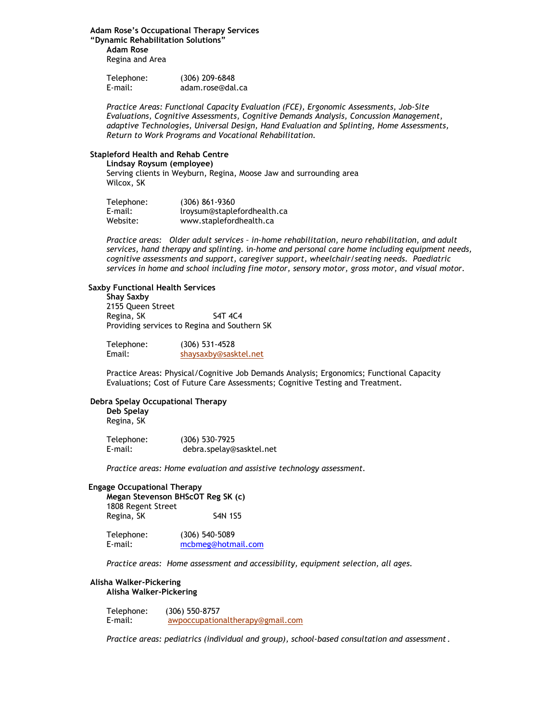# **Adam Rose's Occupational Therapy Services**

**"Dynamic Rehabilitation Solutions" Adam Rose** Regina and Area

| Telephone: | $(306)$ 209-6848 |
|------------|------------------|
| E-mail:    | adam.rose@dal.ca |

*Practice Areas: Functional Capacity Evaluation (FCE), Ergonomic Assessments, Job-Site Evaluations, Cognitive Assessments, Cognitive Demands Analysis, Concussion Management, adaptive Technologies, Universal Design, Hand Evaluation and Splinting, Home Assessments, Return to Work Programs and Vocational Rehabilitation.*

## **Stapleford Health and Rehab Centre**

**Lindsay Roysum (employee)**

Serving clients in Weyburn, Regina, Moose Jaw and surrounding area Wilcox, SK

| Telephone: | $(306) 861 - 9360$          |
|------------|-----------------------------|
| E-mail:    | lroysum@staplefordhealth.ca |
| Website:   | www.staplefordhealth.ca     |

*Practice areas: Older adult services – in-home rehabilitation, neuro rehabilitation, and adult services, hand therapy and splinting.* i*n-home and personal care home including equipment needs, cognitive assessments and support, caregiver support, wheelchair/seating needs. Paediatric services in home and school including fine motor, sensory motor, gross motor, and visual motor.* 

## **Saxby Functional Health Services**

# **Shay Saxby**

2155 Queen Street Regina, SK S4T 4C4 Providing services to Regina and Southern SK

| Telephone: | $(306)$ 531-4528      |
|------------|-----------------------|
| Email:     | shaysaxby@sasktel.net |

Practice Areas: Physical/Cognitive Job Demands Analysis; Ergonomics; Functional Capacity Evaluations; Cost of Future Care Assessments; Cognitive Testing and Treatment.

# **Debra Spelay Occupational Therapy**

**Deb Spelay** Regina, SK

Telephone: (306) 530-7925 E-mail: debra.spelay@sasktel.net

*Practice areas: Home evaluation and assistive technology assessment.*

#### **Engage Occupational Therapy**

**Megan Stevenson BHScOT Reg SK (c)** 1808 Regent Street Regina, SK S4N 1S5

Telephone: (306) 540-5089 E-mail: [mcbmeg@hotmail.com](mailto:mcbmeg@hotmail.com)

*Practice areas: Home assessment and accessibility, equipment selection, all ages.* 

#### **Alisha Walker-Pickering Alisha Walker-Pickering**

| Telephone: | $(306)$ 550-8757                 |
|------------|----------------------------------|
| E-mail:    | awpoccupationaltherapy@gmail.com |

*Practice areas: pediatrics (individual and group), school-based consultation and assessment.*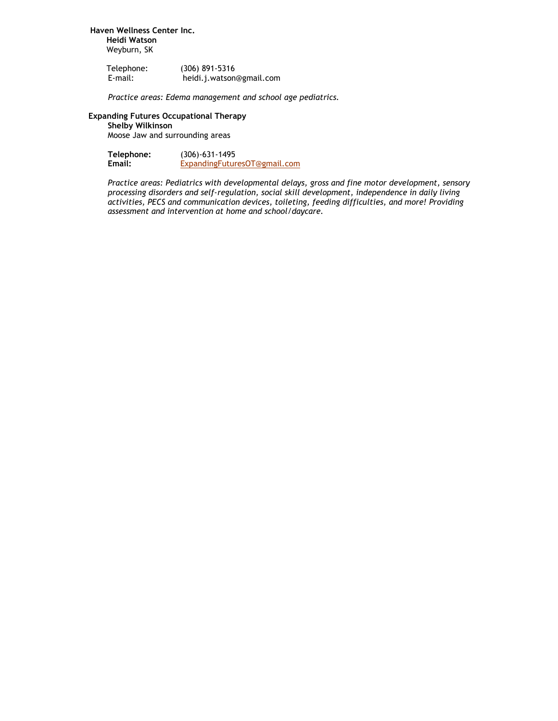**Haven Wellness Center Inc. Heidi Watson** Weyburn, SK

| Telephone: | $(306)$ 891-5316         |
|------------|--------------------------|
| E-mail:    | heidi.j.watson@gmail.com |

*Practice areas: Edema management and school age pediatrics.*

# **Expanding Futures Occupational Therapy**

**Shelby Wilkinson** Moose Jaw and surrounding areas

| Telephone: | (306)-631-1495               |
|------------|------------------------------|
| Email:     | ExpandingFuturesOT@gmail.com |

*Practice areas: Pediatrics with developmental delays, gross and fine motor development, sensory processing disorders and self-regulation, social skill development, independence in daily living activities, PECS and communication devices, toileting, feeding difficulties, and more! Providing assessment and intervention at home and school/daycare.*